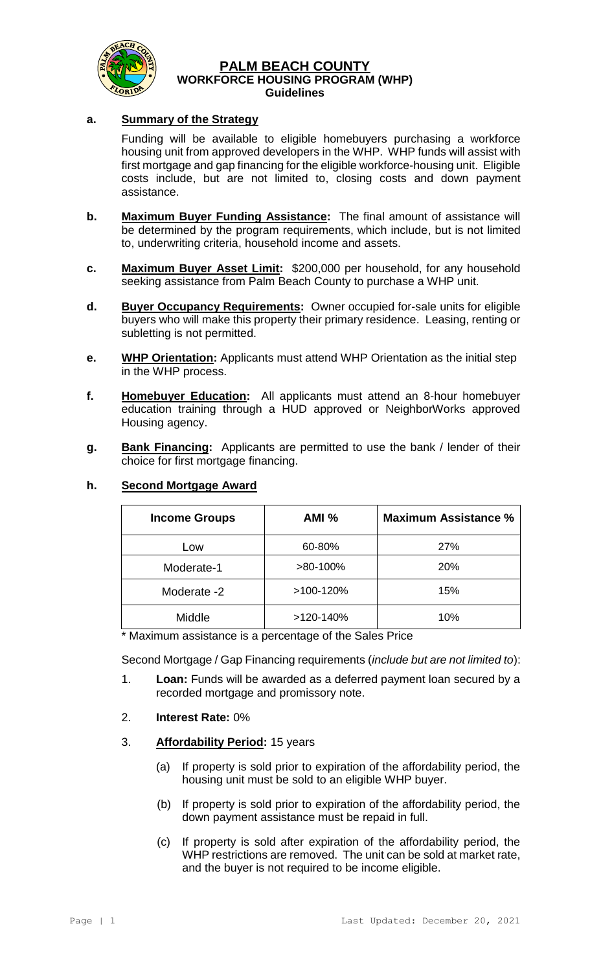

#### **PALM BEACH COUNTY WORKFORCE HOUSING PROGRAM (WHP) Guidelines**

# **a. Summary of the Strategy**

Funding will be available to eligible homebuyers purchasing a workforce housing unit from approved developers in the WHP. WHP funds will assist with first mortgage and gap financing for the eligible workforce-housing unit. Eligible costs include, but are not limited to, closing costs and down payment assistance.

- **b. Maximum Buyer Funding Assistance:** The final amount of assistance will be determined by the program requirements, which include, but is not limited to, underwriting criteria, household income and assets.
- **c. Maximum Buyer Asset Limit:** \$200,000 per household, for any household seeking assistance from Palm Beach County to purchase a WHP unit.
- **d. Buyer Occupancy Requirements:** Owner occupied for-sale units for eligible buyers who will make this property their primary residence. Leasing, renting or subletting is not permitted.
- **e. WHP Orientation:** Applicants must attend WHP Orientation as the initial step in the WHP process.
- **f. Homebuyer Education:** All applicants must attend an 8-hour homebuyer education training through a HUD approved or NeighborWorks approved Housing agency.
- **g. Bank Financing:** Applicants are permitted to use the bank / lender of their choice for first mortgage financing.

| <b>Income Groups</b> | AMI%      | <b>Maximum Assistance %</b> |
|----------------------|-----------|-----------------------------|
| Low                  | 60-80%    | 27%                         |
| Moderate-1           | >80-100%  | 20%                         |
| Moderate -2          | >100-120% | 15%                         |
| Middle               | >120-140% | 10%                         |

## **h. Second Mortgage Award**

\* Maximum assistance is a percentage of the Sales Price

Second Mortgage / Gap Financing requirements (*include but are not limited to*):

- 1. **Loan:** Funds will be awarded as a deferred payment loan secured by a recorded mortgage and promissory note.
- 2. **Interest Rate:** 0%
- 3. **Affordability Period:** 15 years
	- (a) If property is sold prior to expiration of the affordability period, the housing unit must be sold to an eligible WHP buyer.
	- (b) If property is sold prior to expiration of the affordability period, the down payment assistance must be repaid in full.
	- (c) If property is sold after expiration of the affordability period, the WHP restrictions are removed. The unit can be sold at market rate, and the buyer is not required to be income eligible.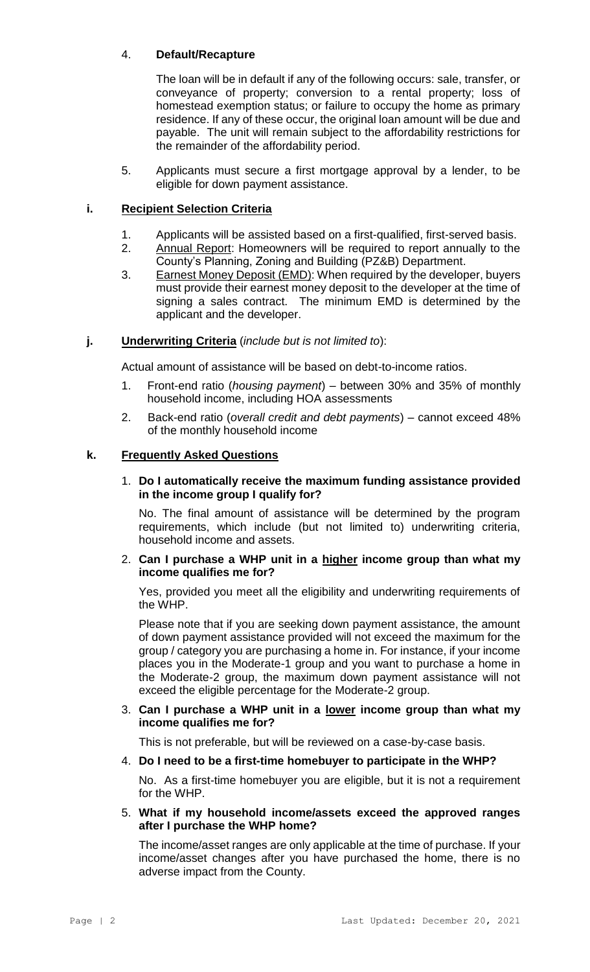# 4. **Default/Recapture**

The loan will be in default if any of the following occurs: sale, transfer, or conveyance of property; conversion to a rental property; loss of homestead exemption status; or failure to occupy the home as primary residence. If any of these occur, the original loan amount will be due and payable. The unit will remain subject to the affordability restrictions for the remainder of the affordability period.

5. Applicants must secure a first mortgage approval by a lender, to be eligible for down payment assistance.

# **i. Recipient Selection Criteria**

- 1. Applicants will be assisted based on a first-qualified, first-served basis.
- 2. Annual Report: Homeowners will be required to report annually to the County's Planning, Zoning and Building (PZ&B) Department.
- 3. Earnest Money Deposit (EMD): When required by the developer, buyers must provide their earnest money deposit to the developer at the time of signing a sales contract. The minimum EMD is determined by the applicant and the developer.

## **j. Underwriting Criteria** (*include but is not limited to*):

Actual amount of assistance will be based on debt-to-income ratios.

- 1. Front-end ratio (*housing payment*) between 30% and 35% of monthly household income, including HOA assessments
- 2. Back-end ratio (*overall credit and debt payments*) cannot exceed 48% of the monthly household income

## **k. Frequently Asked Questions**

#### 1. **Do I automatically receive the maximum funding assistance provided in the income group I qualify for?**

No. The final amount of assistance will be determined by the program requirements, which include (but not limited to) underwriting criteria, household income and assets.

### 2. **Can I purchase a WHP unit in a higher income group than what my income qualifies me for?**

Yes, provided you meet all the eligibility and underwriting requirements of the WHP.

Please note that if you are seeking down payment assistance, the amount of down payment assistance provided will not exceed the maximum for the group / category you are purchasing a home in. For instance, if your income places you in the Moderate-1 group and you want to purchase a home in the Moderate-2 group, the maximum down payment assistance will not exceed the eligible percentage for the Moderate-2 group.

#### 3. **Can I purchase a WHP unit in a lower income group than what my income qualifies me for?**

This is not preferable, but will be reviewed on a case-by-case basis.

#### 4. **Do I need to be a first-time homebuyer to participate in the WHP?**

No. As a first-time homebuyer you are eligible, but it is not a requirement for the WHP.

#### 5. **What if my household income/assets exceed the approved ranges after I purchase the WHP home?**

The income/asset ranges are only applicable at the time of purchase. If your income/asset changes after you have purchased the home, there is no adverse impact from the County.